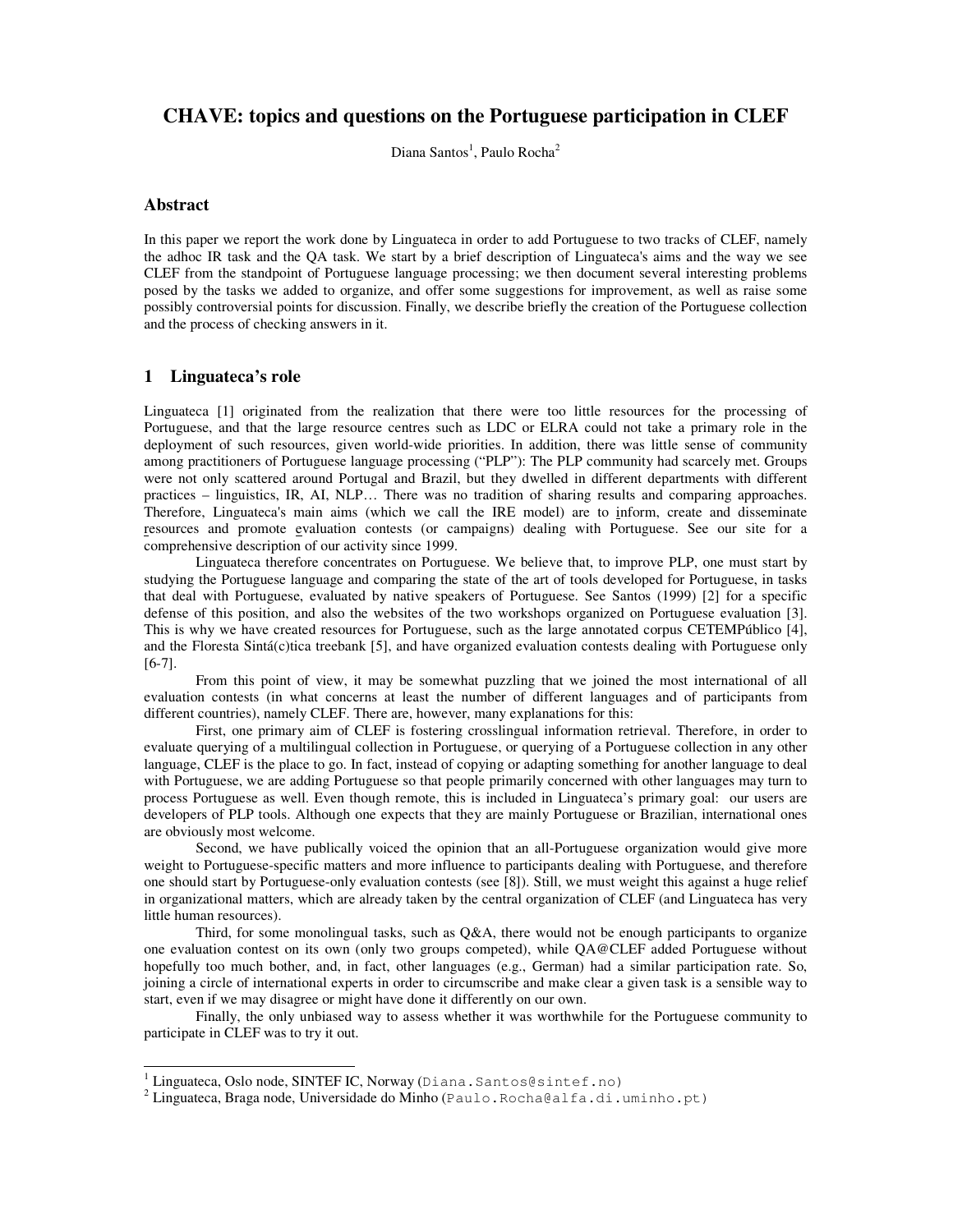# **CHAVE: topics and questions on the Portuguese participation in CLEF**

Diana Santos<sup>1</sup>, Paulo Rocha<sup>2</sup>

## **Abstract**

In this paper we report the work done by Linguateca in order to add Portuguese to two tracks of CLEF, namely the adhoc IR task and the QA task. We start by a brief description of Linguateca's aims and the way we see CLEF from the standpoint of Portuguese language processing; we then document several interesting problems posed by the tasks we added to organize, and offer some suggestions for improvement, as well as raise some possibly controversial points for discussion. Finally, we describe briefly the creation of the Portuguese collection and the process of checking answers in it.

## **1 Linguateca's role**

Linguateca [1] originated from the realization that there were too little resources for the processing of Portuguese, and that the large resource centres such as LDC or ELRA could not take a primary role in the deployment of such resources, given world-wide priorities. In addition, there was little sense of community among practitioners of Portuguese language processing ("PLP"): The PLP community had scarcely met. Groups were not only scattered around Portugal and Brazil, but they dwelled in different departments with different practices – linguistics, IR, AI, NLP… There was no tradition of sharing results and comparing approaches. Therefore, Linguateca's main aims (which we call the IRE model) are to inform, create and disseminate resources and promote evaluation contests (or campaigns) dealing with Portuguese. See our site for a comprehensive description of our activity since 1999.

Linguateca therefore concentrates on Portuguese. We believe that, to improve PLP, one must start by studying the Portuguese language and comparing the state of the art of tools developed for Portuguese, in tasks that deal with Portuguese, evaluated by native speakers of Portuguese. See Santos (1999) [2] for a specific defense of this position, and also the websites of the two workshops organized on Portuguese evaluation [3]. This is why we have created resources for Portuguese, such as the large annotated corpus CETEMPúblico [4], and the Floresta Sintá(c)tica treebank [5], and have organized evaluation contests dealing with Portuguese only [6-7].

From this point of view, it may be somewhat puzzling that we joined the most international of all evaluation contests (in what concerns at least the number of different languages and of participants from different countries), namely CLEF. There are, however, many explanations for this:

First, one primary aim of CLEF is fostering crosslingual information retrieval. Therefore, in order to evaluate querying of a multilingual collection in Portuguese, or querying of a Portuguese collection in any other language, CLEF is the place to go. In fact, instead of copying or adapting something for another language to deal with Portuguese, we are adding Portuguese so that people primarily concerned with other languages may turn to process Portuguese as well. Even though remote, this is included in Linguateca's primary goal: our users are developers of PLP tools. Although one expects that they are mainly Portuguese or Brazilian, international ones are obviously most welcome.

Second, we have publically voiced the opinion that an all-Portuguese organization would give more weight to Portuguese-specific matters and more influence to participants dealing with Portuguese, and therefore one should start by Portuguese-only evaluation contests (see [8]). Still, we must weight this against a huge relief in organizational matters, which are already taken by the central organization of CLEF (and Linguateca has very little human resources).

Third, for some monolingual tasks, such as  $O&A$ , there would not be enough participants to organize one evaluation contest on its own (only two groups competed), while QA@CLEF added Portuguese without hopefully too much bother, and, in fact, other languages (e.g., German) had a similar participation rate. So, joining a circle of international experts in order to circumscribe and make clear a given task is a sensible way to start, even if we may disagree or might have done it differently on our own.

Finally, the only unbiased way to assess whether it was worthwhile for the Portuguese community to participate in CLEF was to try it out.

<sup>&</sup>lt;sup>1</sup> Linguateca, Oslo node, SINTEF IC, Norway (Diana.Santos@sintef.no)

 $^2$  Linguateca, Braga node, Universidade do Minho (Paulo . Rocha@alfa.di.uminho.pt)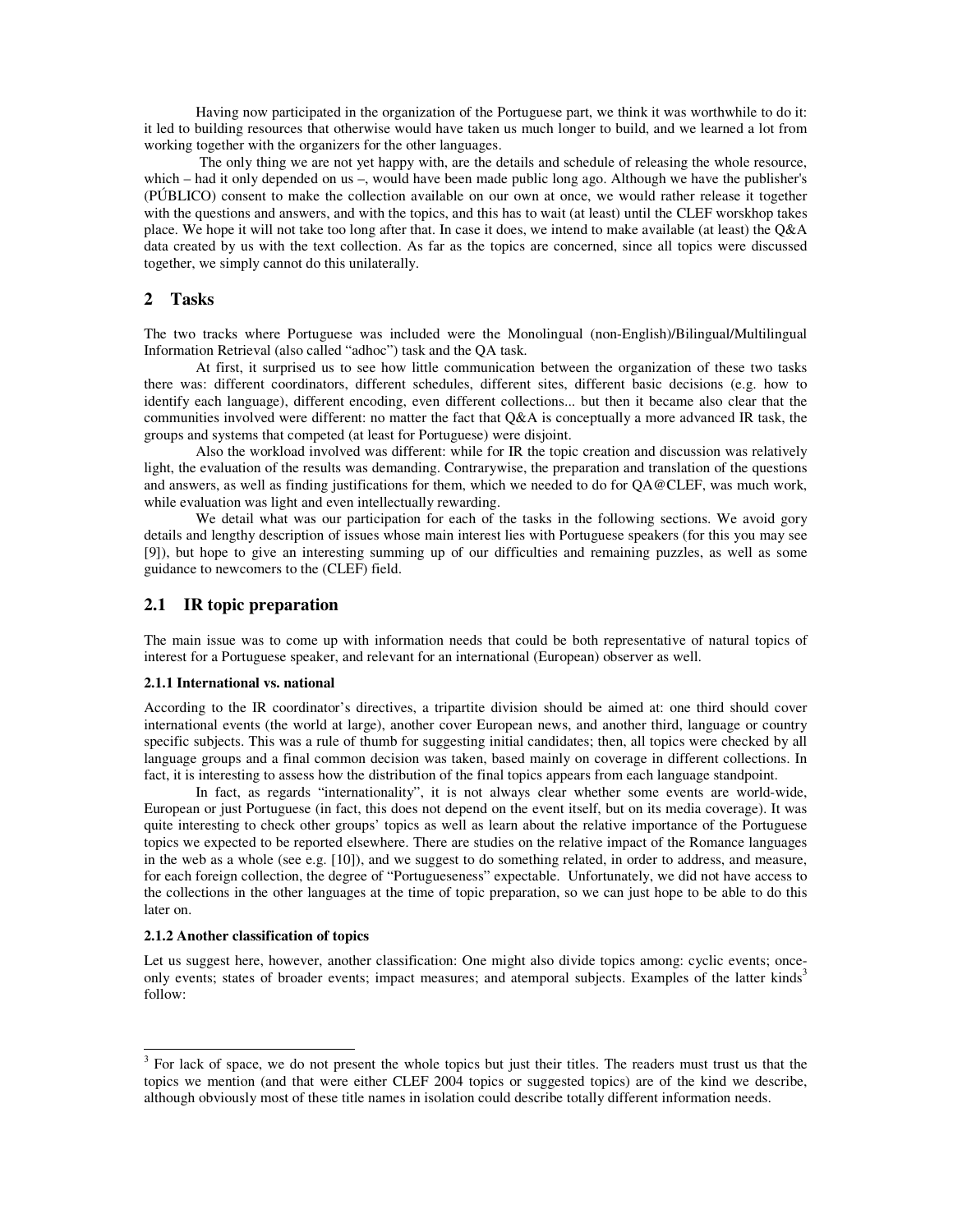Having now participated in the organization of the Portuguese part, we think it was worthwhile to do it: it led to building resources that otherwise would have taken us much longer to build, and we learned a lot from working together with the organizers for the other languages.

The only thing we are not yet happy with, are the details and schedule of releasing the whole resource, which – had it only depended on us –, would have been made public long ago. Although we have the publisher's (PÚBLICO) consent to make the collection available on our own at once, we would rather release it together with the questions and answers, and with the topics, and this has to wait (at least) until the CLEF worskhop takes place. We hope it will not take too long after that. In case it does, we intend to make available (at least) the Q&A data created by us with the text collection. As far as the topics are concerned, since all topics were discussed together, we simply cannot do this unilaterally.

## **2 Tasks**

The two tracks where Portuguese was included were the Monolingual (non-English)/Bilingual/Multilingual Information Retrieval (also called "adhoc") task and the QA task.

At first, it surprised us to see how little communication between the organization of these two tasks there was: different coordinators, different schedules, different sites, different basic decisions (e.g. how to identify each language), different encoding, even different collections... but then it became also clear that the communities involved were different: no matter the fact that Q&A is conceptually a more advanced IR task, the groups and systems that competed (at least for Portuguese) were disjoint.

Also the workload involved was different: while for IR the topic creation and discussion was relatively light, the evaluation of the results was demanding. Contrarywise, the preparation and translation of the questions and answers, as well as finding justifications for them, which we needed to do for QA@CLEF, was much work, while evaluation was light and even intellectually rewarding.

We detail what was our participation for each of the tasks in the following sections. We avoid gory details and lengthy description of issues whose main interest lies with Portuguese speakers (for this you may see [9]), but hope to give an interesting summing up of our difficulties and remaining puzzles, as well as some guidance to newcomers to the (CLEF) field.

## **2.1 IR topic preparation**

The main issue was to come up with information needs that could be both representative of natural topics of interest for a Portuguese speaker, and relevant for an international (European) observer as well.

### **2.1.1 International vs. national**

According to the IR coordinator's directives, a tripartite division should be aimed at: one third should cover international events (the world at large), another cover European news, and another third, language or country specific subjects. This was a rule of thumb for suggesting initial candidates; then, all topics were checked by all language groups and a final common decision was taken, based mainly on coverage in different collections. In fact, it is interesting to assess how the distribution of the final topics appears from each language standpoint.

In fact, as regards "internationality", it is not always clear whether some events are world-wide, European or just Portuguese (in fact, this does not depend on the event itself, but on its media coverage). It was quite interesting to check other groups' topics as well as learn about the relative importance of the Portuguese topics we expected to be reported elsewhere. There are studies on the relative impact of the Romance languages in the web as a whole (see e.g. [10]), and we suggest to do something related, in order to address, and measure, for each foreign collection, the degree of "Portugueseness" expectable. Unfortunately, we did not have access to the collections in the other languages at the time of topic preparation, so we can just hope to be able to do this later on.

#### **2.1.2 Another classification of topics**

Let us suggest here, however, another classification: One might also divide topics among: cyclic events; onceonly events; states of broader events; impact measures; and atemporal subjects. Examples of the latter kinds<sup>3</sup> follow:

 $3$  For lack of space, we do not present the whole topics but just their titles. The readers must trust us that the topics we mention (and that were either CLEF 2004 topics or suggested topics) are of the kind we describe, although obviously most of these title names in isolation could describe totally different information needs.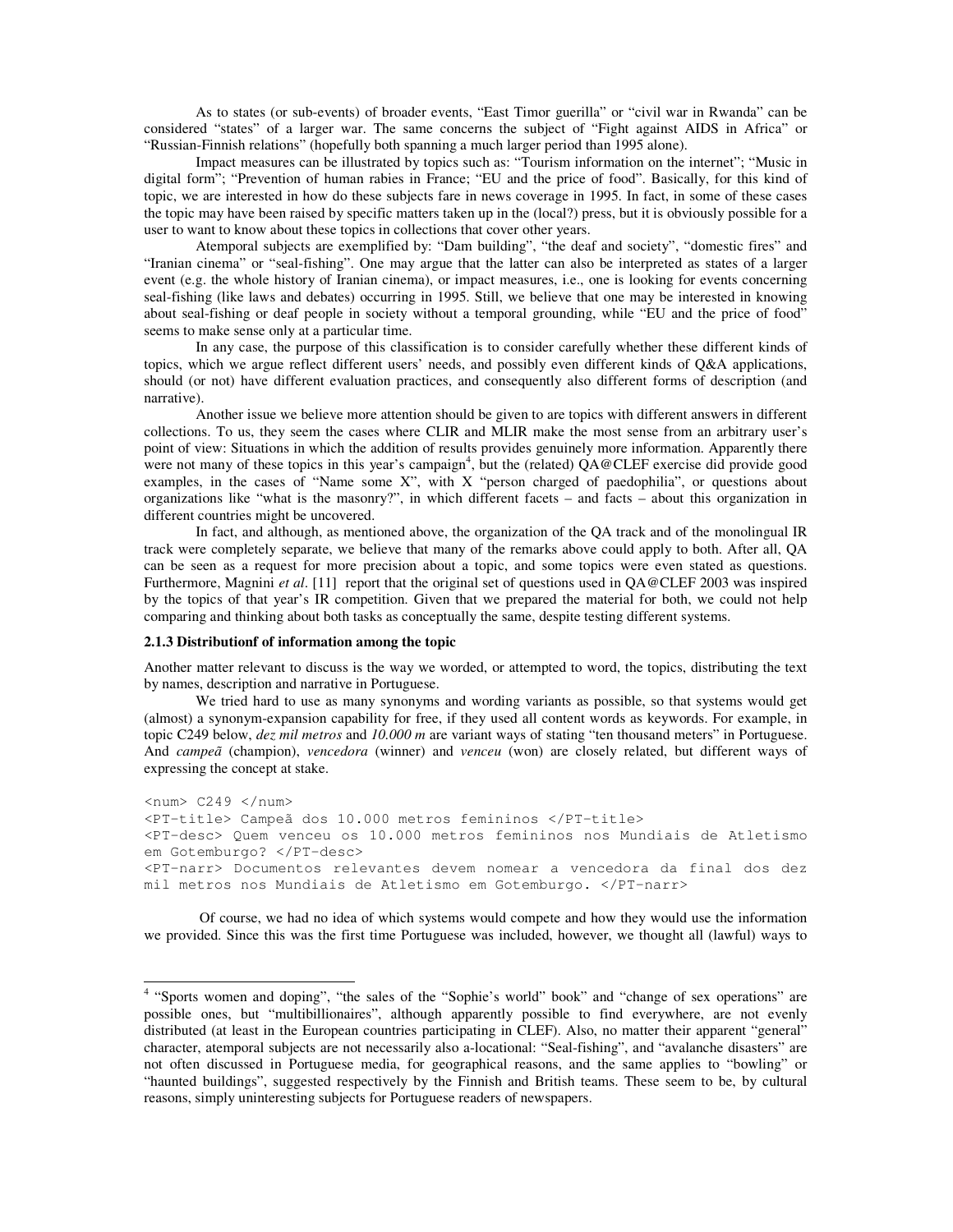As to states (or sub-events) of broader events, "East Timor guerilla" or "civil war in Rwanda" can be considered "states" of a larger war. The same concerns the subject of "Fight against AIDS in Africa" or "Russian-Finnish relations" (hopefully both spanning a much larger period than 1995 alone).

Impact measures can be illustrated by topics such as: "Tourism information on the internet"; "Music in digital form"; "Prevention of human rabies in France; "EU and the price of food". Basically, for this kind of topic, we are interested in how do these subjects fare in news coverage in 1995. In fact, in some of these cases the topic may have been raised by specific matters taken up in the (local?) press, but it is obviously possible for a user to want to know about these topics in collections that cover other years.

Atemporal subjects are exemplified by: "Dam building", "the deaf and society", "domestic fires" and "Iranian cinema" or "seal-fishing". One may argue that the latter can also be interpreted as states of a larger event (e.g. the whole history of Iranian cinema), or impact measures, i.e., one is looking for events concerning seal-fishing (like laws and debates) occurring in 1995. Still, we believe that one may be interested in knowing about seal-fishing or deaf people in society without a temporal grounding, while "EU and the price of food" seems to make sense only at a particular time.

In any case, the purpose of this classification is to consider carefully whether these different kinds of topics, which we argue reflect different users' needs, and possibly even different kinds of Q&A applications, should (or not) have different evaluation practices, and consequently also different forms of description (and narrative).

Another issue we believe more attention should be given to are topics with different answers in different collections. To us, they seem the cases where CLIR and MLIR make the most sense from an arbitrary user's point of view: Situations in which the addition of results provides genuinely more information. Apparently there were not many of these topics in this year's campaign<sup>4</sup>, but the (related) QA@CLEF exercise did provide good examples, in the cases of "Name some X", with X "person charged of paedophilia", or questions about organizations like "what is the masonry?", in which different facets – and facts – about this organization in different countries might be uncovered.

In fact, and although, as mentioned above, the organization of the QA track and of the monolingual IR track were completely separate, we believe that many of the remarks above could apply to both. After all, QA can be seen as a request for more precision about a topic, and some topics were even stated as questions. Furthermore, Magnini *et al.* [11] report that the original set of questions used in QA@CLEF 2003 was inspired by the topics of that year's IR competition. Given that we prepared the material for both, we could not help comparing and thinking about both tasks as conceptually the same, despite testing different systems.

#### **2.1.3 Distributionf of information among the topic**

Another matter relevant to discuss is the way we worded, or attempted to word, the topics, distributing the text by names, description and narrative in Portuguese.

We tried hard to use as many synonyms and wording variants as possible, so that systems would get (almost) a synonym-expansion capability for free, if they used all content words as keywords. For example, in topic C249 below, *dez mil metros* and *10.000 m* are variant ways of stating "ten thousand meters" in Portuguese. And *campeã* (champion), *vencedora* (winner) and *venceu* (won) are closely related, but different ways of expressing the concept at stake.

 $\langle num \rangle$  C249  $\langle num \rangle$ <PT-title> Campeã dos 10.000 metros femininos </PT-title> <PT-desc> Quem venceu os 10.000 metros femininos nos Mundiais de Atletismo em Gotemburgo? </PT-desc> <PT-narr> Documentos relevantes devem nomear a vencedora da final dos dez mil metros nos Mundiais de Atletismo em Gotemburgo. </PT-narr>

Of course, we had no idea of which systems would compete and how they would use the information we provided. Since this was the first time Portuguese was included, however, we thought all (lawful) ways to

<sup>&</sup>lt;sup>4</sup> "Sports women and doping", "the sales of the "Sophie's world" book" and "change of sex operations" are possible ones, but "multibillionaires", although apparently possible to find everywhere, are not evenly distributed (at least in the European countries participating in CLEF). Also, no matter their apparent "general" character, atemporal subjects are not necessarily also a-locational: "Seal-fishing", and "avalanche disasters" are not often discussed in Portuguese media, for geographical reasons, and the same applies to "bowling" or "haunted buildings", suggested respectively by the Finnish and British teams. These seem to be, by cultural reasons, simply uninteresting subjects for Portuguese readers of newspapers.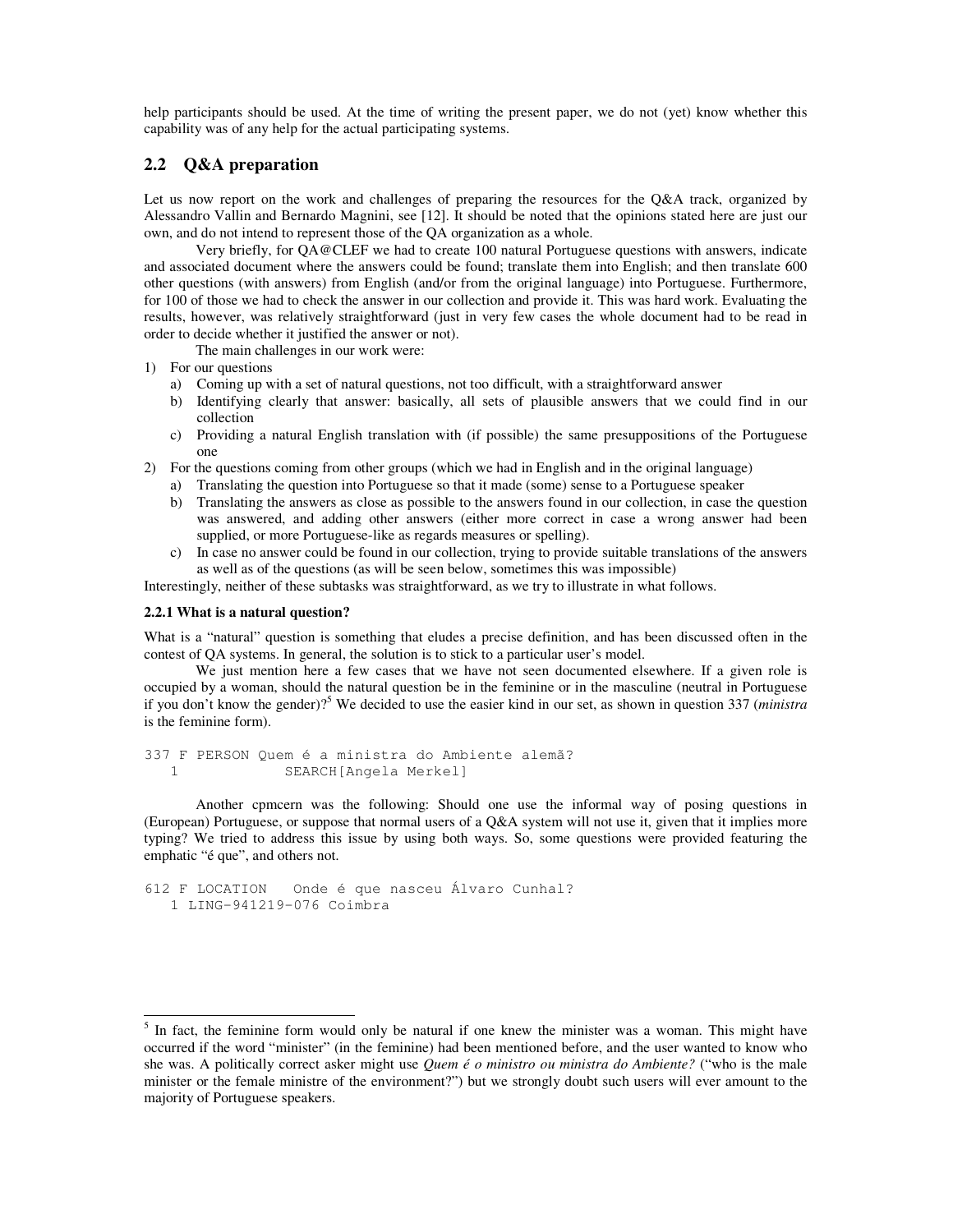help participants should be used. At the time of writing the present paper, we do not (yet) know whether this capability was of any help for the actual participating systems.

## **2.2 Q&A preparation**

Let us now report on the work and challenges of preparing the resources for the Q&A track, organized by Alessandro Vallin and Bernardo Magnini, see [12]. It should be noted that the opinions stated here are just our own, and do not intend to represent those of the QA organization as a whole.

Very briefly, for QA@CLEF we had to create 100 natural Portuguese questions with answers, indicate and associated document where the answers could be found; translate them into English; and then translate 600 other questions (with answers) from English (and/or from the original language) into Portuguese. Furthermore, for 100 of those we had to check the answer in our collection and provide it. This was hard work. Evaluating the results, however, was relatively straightforward (just in very few cases the whole document had to be read in order to decide whether it justified the answer or not).

The main challenges in our work were:

- 1) For our questions
	- a) Coming up with a set of natural questions, not too difficult, with a straightforward answer
	- b) Identifying clearly that answer: basically, all sets of plausible answers that we could find in our collection
	- c) Providing a natural English translation with (if possible) the same presuppositions of the Portuguese one
- 2) For the questions coming from other groups (which we had in English and in the original language)
	- a) Translating the question into Portuguese so that it made (some) sense to a Portuguese speaker
	- b) Translating the answers as close as possible to the answers found in our collection, in case the question was answered, and adding other answers (either more correct in case a wrong answer had been supplied, or more Portuguese-like as regards measures or spelling).
	- c) In case no answer could be found in our collection, trying to provide suitable translations of the answers as well as of the questions (as will be seen below, sometimes this was impossible)

Interestingly, neither of these subtasks was straightforward, as we try to illustrate in what follows.

## **2.2.1 What is a natural question?**

What is a "natural" question is something that eludes a precise definition, and has been discussed often in the contest of QA systems. In general, the solution is to stick to a particular user's model.

We just mention here a few cases that we have not seen documented elsewhere. If a given role is occupied by a woman, should the natural question be in the feminine or in the masculine (neutral in Portuguese if you don't know the gender)? <sup>5</sup> We decided to use the easier kind in our set, as shown in question 337 (*ministra* is the feminine form).

337 F PERSON Quem é a ministra do Ambiente alemã? 1 SEARCH[Angela Merkel]

Another cpmcern was the following: Should one use the informal way of posing questions in (European) Portuguese, or suppose that normal users of a Q&A system will not use it, given that it implies more typing? We tried to address this issue by using both ways. So, some questions were provided featuring the emphatic "é que", and others not.

```
612 F LOCATION Onde é que nasceu Álvaro Cunhal?
  1 LING-941219-076 Coimbra
```
<sup>5</sup> In fact, the feminine form would only be natural if one knew the minister was a woman. This might have occurred if the word "minister" (in the feminine) had been mentioned before, and the user wanted to know who she was. A politically correct asker might use *Quem é o ministro ou ministra do Ambiente?* ("who is the male minister or the female ministre of the environment?") but we strongly doubt such users will ever amount to the majority of Portuguese speakers.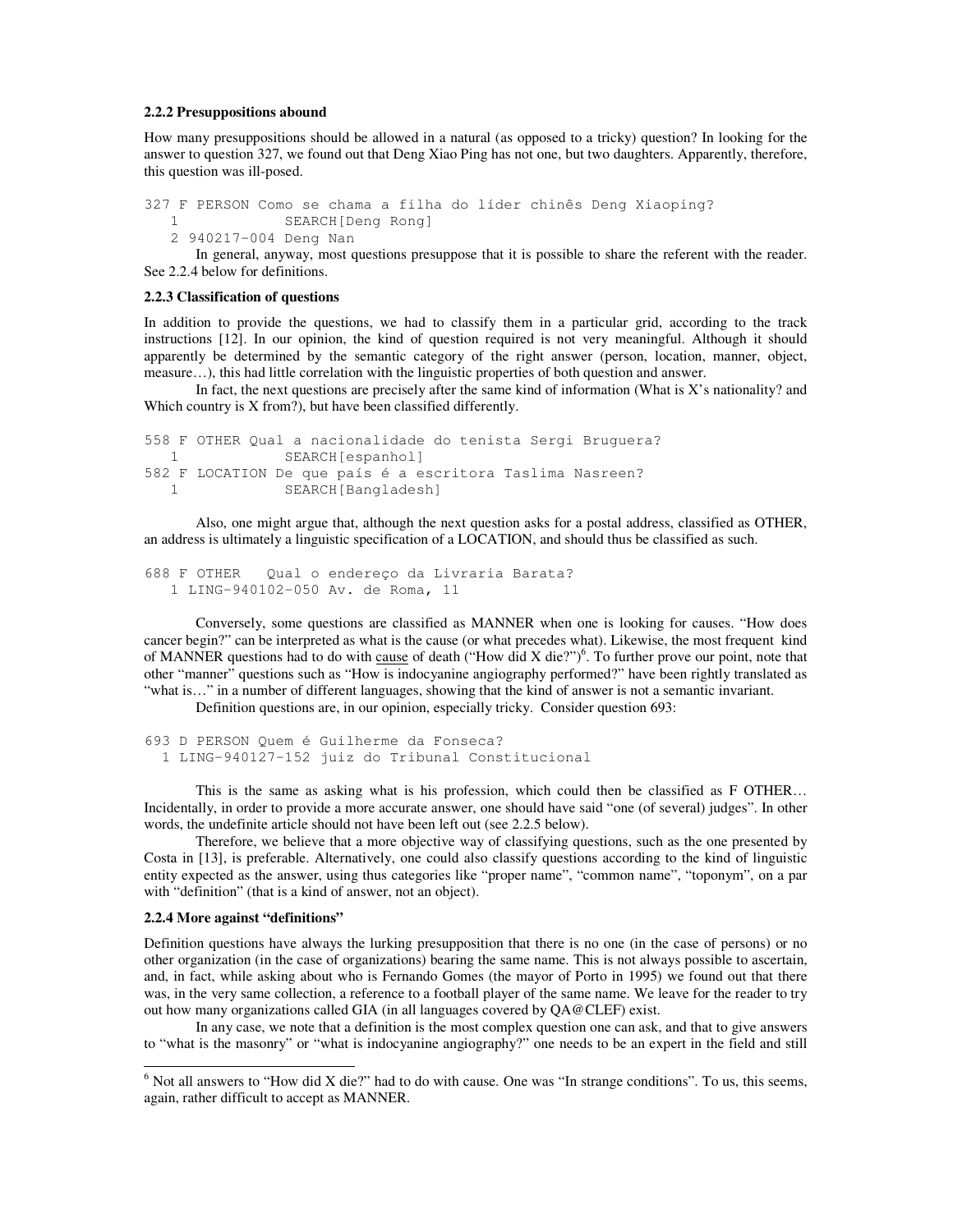#### **2.2.2 Presuppositions abound**

How many presuppositions should be allowed in a natural (as opposed to a tricky) question? In looking for the answer to question 327, we found out that Deng Xiao Ping has not one, but two daughters. Apparently, therefore, this question was ill-posed.

```
327 F PERSON Como se chama a filha do líder chinês Deng Xiaoping?
  1 SEARCH[Deng Rong]
```
2 940217-004 Deng Nan

In general, anyway, most questions presuppose that it is possible to share the referent with the reader. See 2.2.4 below for definitions.

#### **2.2.3 Classification of questions**

In addition to provide the questions, we had to classify them in a particular grid, according to the track instructions [12]. In our opinion, the kind of question required is not very meaningful. Although it should apparently be determined by the semantic category of the right answer (person, location, manner, object, measure…), this had little correlation with the linguistic properties of both question and answer.

In fact, the next questions are precisely after the same kind of information (What is  $X$ 's nationality? and Which country is X from?), but have been classified differently.

```
558 F OTHER Qual a nacionalidade do tenista Sergi Bruguera?
  1 SEARCH[espanhol]
582 F LOCATION De que país é a escritora Taslima Nasreen?
  1 SEARCH[Bangladesh]
```
Also, one might argue that, although the next question asks for a postal address, classified as OTHER, an address is ultimately a linguistic specification of a LOCATION, and should thus be classified as such.

```
688 F OTHER Qual o endereço da Livraria Barata?
  1 LING-940102-050 Av. de Roma, 11
```
Conversely, some questions are classified as MANNER when one is looking for causes. "How does cancer begin?" can be interpreted as what is the cause (or what precedes what). Likewise, the most frequent kind of MANNER questions had to do with cause of death ("How did X die?")<sup>6</sup>. To further prove our point, note that other "manner" questions such as "How is indocyanine angiography performed?" have been rightly translated as "what is…" in a number of different languages, showing that the kind of answer is not a semantic invariant.

Definition questions are, in our opinion, especially tricky. Consider question 693:

693 D PERSON Quem é Guilherme da Fonseca? 1 LING-940127-152 juiz do Tribunal Constitucional

This is the same as asking what is his profession, which could then be classified as F OTHER… Incidentally, in order to provide a more accurate answer, one should have said "one (of several) judges". In other words, the undefinite article should not have been left out (see 2.2.5 below).

Therefore, we believe that a more objective way of classifying questions, such as the one presented by Costa in [13], is preferable. Alternatively, one could also classify questions according to the kind of linguistic entity expected as the answer, using thus categories like "proper name", "common name", "toponym", on a par with "definition" (that is a kind of answer, not an object).

#### **2.2.4 More against "definitions"**

Definition questions have always the lurking presupposition that there is no one (in the case of persons) or no other organization (in the case of organizations) bearing the same name. This is not always possible to ascertain, and, in fact, while asking about who is Fernando Gomes (the mayor of Porto in 1995) we found out that there was, in the very same collection, a reference to a football player of the same name. We leave for the reader to try out how many organizations called GIA (in all languages covered by QA@CLEF) exist.

In any case, we note that a definition is the most complex question one can ask, and that to give answers to "what is the masonry" or "what is indocyanine angiography?" one needs to be an expert in the field and still

 $6$  Not all answers to "How did X die?" had to do with cause. One was "In strange conditions". To us, this seems, again, rather difficult to accept as MANNER.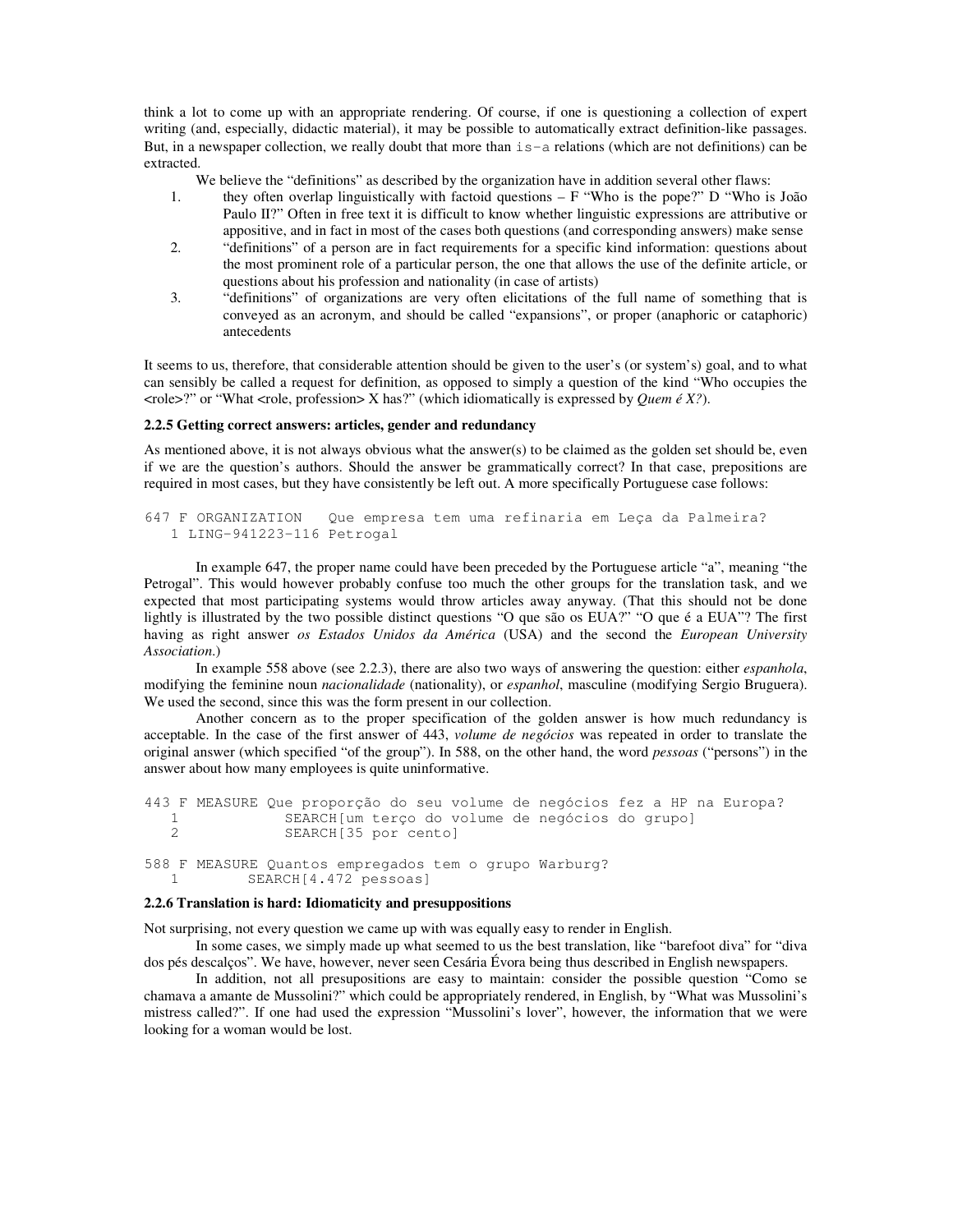think a lot to come up with an appropriate rendering. Of course, if one is questioning a collection of expert writing (and, especially, didactic material), it may be possible to automatically extract definition-like passages. But, in a newspaper collection, we really doubt that more than  $i = -a$  relations (which are not definitions) can be extracted.

We believe the "definitions" as described by the organization have in addition several other flaws:

- 1. they often overlap linguistically with factoid questions F "Who is the pope?" D "Who is João Paulo II?" Often in free text it is difficult to know whether linguistic expressions are attributive or appositive, and in fact in most of the cases both questions (and corresponding answers) make sense
- 2. "definitions" of a person are in fact requirements for a specific kind information: questions about the most prominent role of a particular person, the one that allows the use of the definite article, or questions about his profession and nationality (in case of artists)
- 3. "definitions" of organizations are very often elicitations of the full name of something that is conveyed as an acronym, and should be called "expansions", or proper (anaphoric or cataphoric) antecedents

It seems to us, therefore, that considerable attention should be given to the user's (or system's) goal, and to what can sensibly be called a request for definition, as opposed to simply a question of the kind "Who occupies the  $\langle \text{role} \rangle$ ?" or "What  $\langle \text{role} \rangle$ , profession $\langle \text{Task} \rangle$ " (which idiomatically is expressed by *Quem*  $\epsilon$  *X*?).

### **2.2.5 Getting correct answers: articles, gender and redundancy**

As mentioned above, it is not always obvious what the answer(s) to be claimed as the golden set should be, even if we are the question's authors. Should the answer be grammatically correct? In that case, prepositions are required in most cases, but they have consistently be left out. A more specifically Portuguese case follows:

```
647 F ORGANIZATION Que empresa tem uma refinaria em Leça da Palmeira?
  1 LING-941223-116 Petrogal
```
In example 647, the proper name could have been preceded by the Portuguese article "a", meaning "the Petrogal". This would however probably confuse too much the other groups for the translation task, and we expected that most participating systems would throw articles away anyway. (That this should not be done lightly is illustrated by the two possible distinct questions "O que são os EUA?" "O que é a EUA"? The first having as right answer *os Estados Unidos da América* (USA) and the second the *European University Association*.)

In example 558 above (see 2.2.3), there are also two ways of answering the question: either *espanhola*, modifying the feminine noun *nacionalidade* (nationality), or *espanhol*, masculine (modifying Sergio Bruguera). We used the second, since this was the form present in our collection.

Another concern as to the proper specification of the golden answer is how much redundancy is acceptable. In the case of the first answer of 443, *volume de negócios* was repeated in order to translate the original answer (which specified "of the group"). In 588, on the other hand, the word *pessoas* ("persons") in the answer about how many employees is quite uninformative.

```
443 F MEASURE Que proporção do seu volume de negócios fez a HP na Europa?
  1 SEARCH[um terço do volume de negócios do grupo]
               SEARCH[35 por cento]
588 F MEASURE Quantos empregados tem o grupo Warburg?
           SEARCH[4.472 pessoas]
```
### **2.2.6 Translation is hard: Idiomaticity and presuppositions**

Not surprising, not every question we came up with was equally easy to render in English.

In some cases, we simply made up what seemed to us the best translation, like "barefoot diva" for "diva dos pés descalços". We have, however, never seen Cesária Évora being thus described in English newspapers.

In addition, not all presupositions are easy to maintain: consider the possible question "Como se chamava a amante de Mussolini?" which could be appropriately rendered, in English, by "What was Mussolini's mistress called?". If one had used the expression "Mussolini's lover", however, the information that we were looking for a woman would be lost.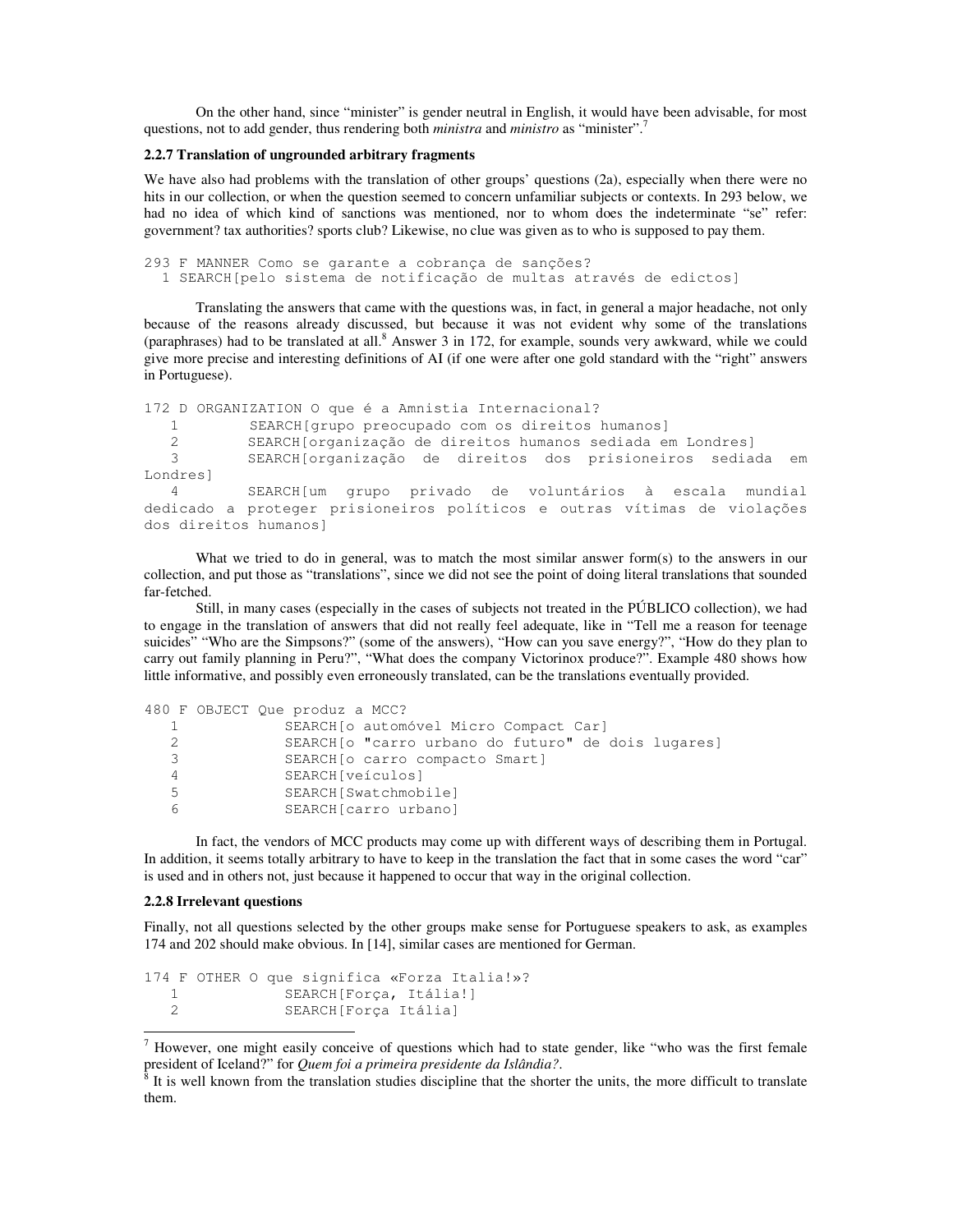On the other hand, since "minister" is gender neutral in English, it would have been advisable, for most questions, not to add gender, thus rendering both *ministra* and *ministro* as "minister". 7

### **2.2.7 Translation of ungrounded arbitrary fragments**

We have also had problems with the translation of other groups' questions (2a), especially when there were no hits in our collection, or when the question seemed to concern unfamiliar subjects or contexts. In 293 below, we had no idea of which kind of sanctions was mentioned, nor to whom does the indeterminate "se" refer: government? tax authorities? sports club? Likewise, no clue was given as to who is supposed to pay them.

293 F MANNER Como se garante a cobrança de sanções? 1 SEARCH[pelo sistema de notificação de multas através de edictos]

Translating the answers that came with the questions was, in fact, in general a major headache, not only because of the reasons already discussed, but because it was not evident why some of the translations (paraphrases) had to be translated at all.<sup>8</sup> Answer 3 in 172, for example, sounds very awkward, while we could give more precise and interesting definitions of AI (if one were after one gold standard with the "right" answers in Portuguese).

```
172 D ORGANIZATION O que é a Amnistia Internacional?
  1 SEARCH[grupo preocupado com os direitos humanos]
          SEARCH[organização de direitos humanos sediada em Londres]
  3 SEARCH[organização de direitos dos prisioneiros sediada em
Londres]
  4 SEARCH[um grupo privado de voluntários à escala mundial
dedicado a proteger prisioneiros políticos e outras vítimas de violações
dos direitos humanos]
```
What we tried to do in general, was to match the most similar answer form(s) to the answers in our collection, and put those as "translations", since we did not see the point of doing literal translations that sounded far-fetched.

Still, in many cases (especially in the cases of subjects not treated in the PÚBLICO collection), we had to engage in the translation of answers that did not really feel adequate, like in "Tell me a reason for teenage suicides" "Who are the Simpsons?" (some of the answers), "How can you save energy?", "How do they plan to carry out family planning in Peru?", "What does the company Victorinox produce?". Example 480 shows how little informative, and possibly even erroneously translated, can be the translations eventually provided.

```
480 F OBJECT Que produz a MCC?
 1 SEARCH[o automóvel Micro Compact Car]
  2 SEARCH[o "carro urbano do futuro" de dois lugares]
  3 SEARCH[o carro compacto Smart]
  4 SEARCH[veículos]
  5 SEARCH[Swatchmobile]
  6 SEARCH[carro urbano]
```
In fact, the vendors of MCC products may come up with different ways of describing them in Portugal. In addition, it seems totally arbitrary to have to keep in the translation the fact that in some cases the word "car" is used and in others not, just because it happened to occur that way in the original collection.

#### **2.2.8 Irrelevant questions**

Finally, not all questions selected by the other groups make sense for Portuguese speakers to ask, as examples 174 and 202 should make obvious. In [14], similar cases are mentioned for German.

```
174 F OTHER O que significa «Forza Italia!»?
  1 SEARCH[Força, Itália!]
  2 SEARCH[Força Itália]
```
<sup>7</sup> However, one might easily conceive of questions which had to state gender, like "who was the first female president of Iceland?" for *Quem foi a primeira presidente da Islândia?*.

<sup>8</sup> It is well known from the translation studies discipline that the shorter the units, the more difficult to translate them.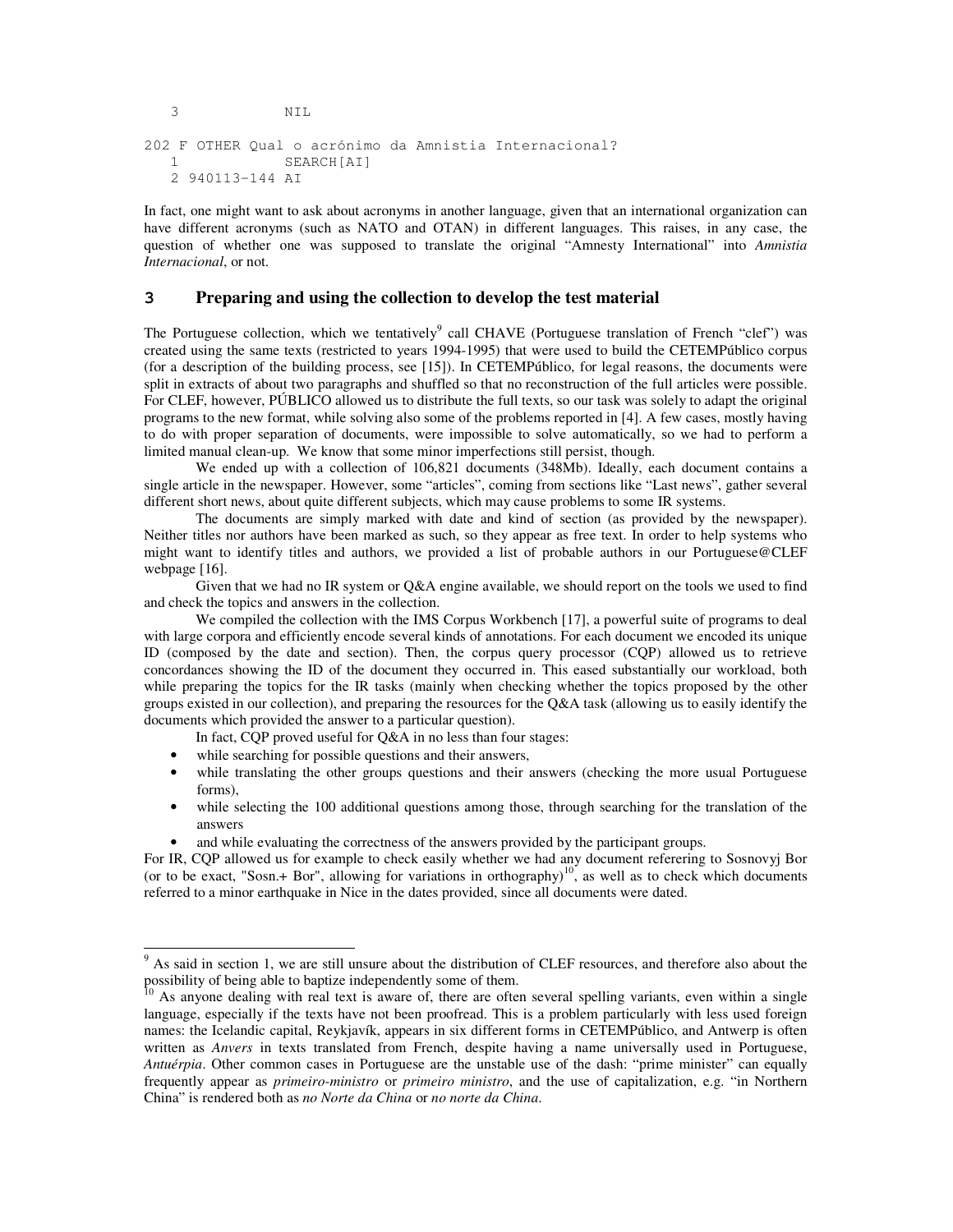202 F OTHER Qual o acrónimo da Amnistia Internacional? 1 SEARCH[AI] 2 940113-144 AI

3 NIL

In fact, one might want to ask about acronyms in another language, given that an international organization can have different acronyms (such as NATO and OTAN) in different languages. This raises, in any case, the question of whether one was supposed to translate the original "Amnesty International" into *Amnistia Internacional*, or not.

## **3 Preparing and using the collection to develop the test material**

The Portuguese collection, which we tentatively<sup>9</sup> call CHAVE (Portuguese translation of French "clef") was created using the same texts (restricted to years 1994-1995) that were used to build the CETEMPúblico corpus (for a description of the building process, see [15]). In CETEMPúblico, for legal reasons, the documents were split in extracts of about two paragraphs and shuffled so that no reconstruction of the full articles were possible. For CLEF, however, PÚBLICO allowed us to distribute the full texts, so our task was solely to adapt the original programs to the new format, while solving also some of the problems reported in [4]. A few cases, mostly having to do with proper separation of documents, were impossible to solve automatically, so we had to perform a limited manual clean-up. We know that some minor imperfections still persist, though.

We ended up with a collection of 106,821 documents (348Mb). Ideally, each document contains a single article in the newspaper. However, some "articles", coming from sections like "Last news", gather several different short news, about quite different subjects, which may cause problems to some IR systems.

The documents are simply marked with date and kind of section (as provided by the newspaper). Neither titles nor authors have been marked as such, so they appear as free text. In order to help systems who might want to identify titles and authors, we provided a list of probable authors in our Portuguese@CLEF webpage [16].

Given that we had no IR system or Q&A engine available, we should report on the tools we used to find and check the topics and answers in the collection.

We compiled the collection with the IMS Corpus Workbench [17], a powerful suite of programs to deal with large corpora and efficiently encode several kinds of annotations. For each document we encoded its unique ID (composed by the date and section). Then, the corpus query processor (CQP) allowed us to retrieve concordances showing the ID of the document they occurred in. This eased substantially our workload, both while preparing the topics for the IR tasks (mainly when checking whether the topics proposed by the other groups existed in our collection), and preparing the resources for the Q&A task (allowing us to easily identify the documents which provided the answer to a particular question).

In fact, CQP proved useful for Q&A in no less than four stages:

- while searching for possible questions and their answers,
- while translating the other groups questions and their answers (checking the more usual Portuguese forms),
- while selecting the 100 additional questions among those, through searching for the translation of the answers
- and while evaluating the correctness of the answers provided by the participant groups.

For IR, CQP allowed us for example to check easily whether we had any document referering to Sosnovyj Bor (or to be exact, "Sosn.+ Bor", allowing for variations in orthography)<sup>10</sup>, as well as to check which documents referred to a minor earthquake in Nice in the dates provided, since all documents were dated.

<sup>&</sup>lt;sup>9</sup> As said in section 1, we are still unsure about the distribution of CLEF resources, and therefore also about the possibility of being able to baptize independently some of them.

<sup>&</sup>lt;sup>10</sup> As anyone dealing with real text is aware of, there are often several spelling variants, even within a single language, especially if the texts have not been proofread. This is a problem particularly with less used foreign names: the Icelandic capital, Reykjavík, appears in six different forms in CETEMPúblico, and Antwerp is often written as *Anvers* in texts translated from French, despite having a name universally used in Portuguese, *Antuérpia*. Other common cases in Portuguese are the unstable use of the dash: "prime minister" can equally frequently appear as *primeiro-ministro* or *primeiro ministro*, and the use of capitalization, e.g. "in Northern China" is rendered both as *no Norte da China* or *no norte da China*.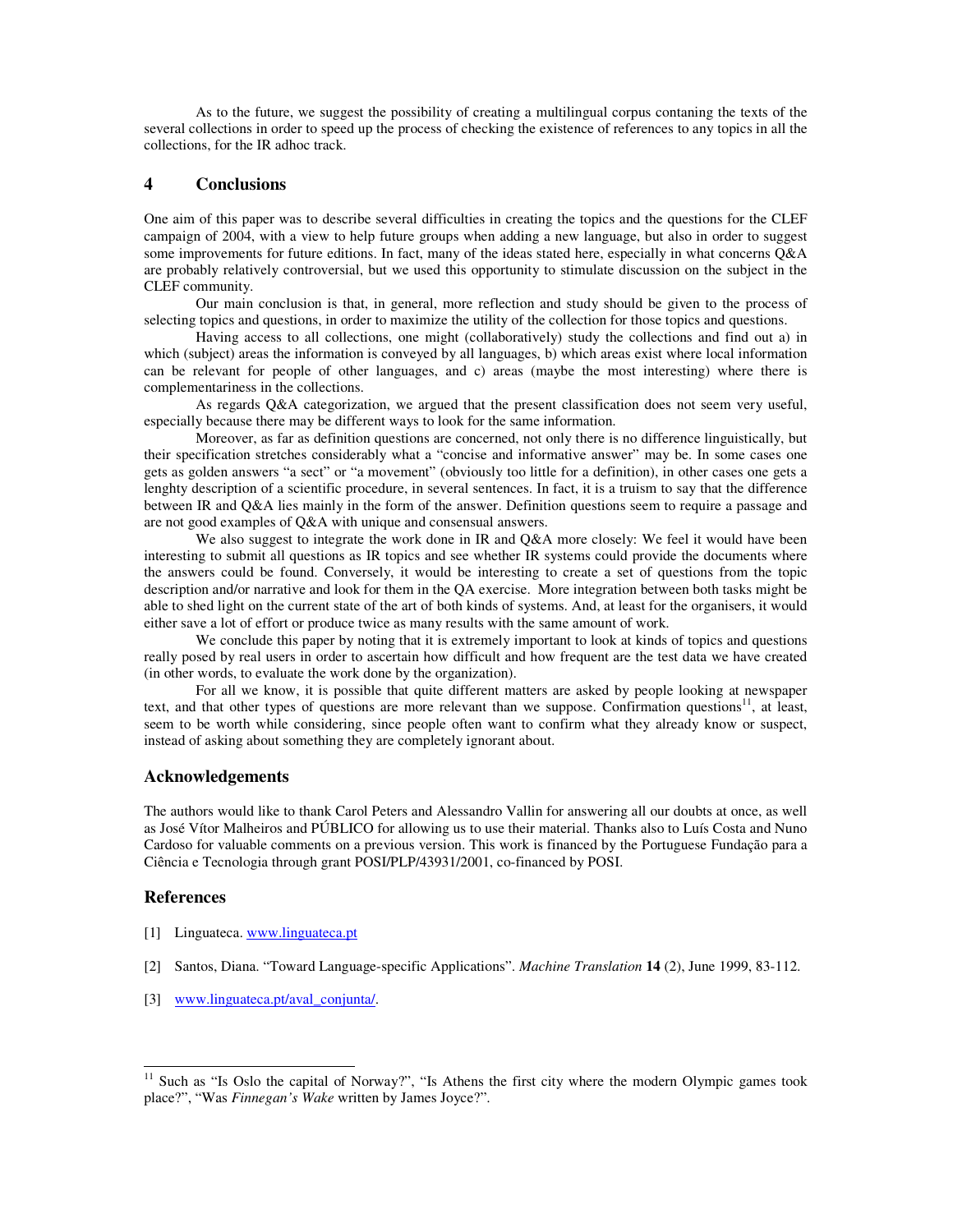As to the future, we suggest the possibility of creating a multilingual corpus contaning the texts of the several collections in order to speed up the process of checking the existence of references to any topics in all the collections, for the IR adhoc track.

## **4 Conclusions**

One aim of this paper was to describe several difficulties in creating the topics and the questions for the CLEF campaign of 2004, with a view to help future groups when adding a new language, but also in order to suggest some improvements for future editions. In fact, many of the ideas stated here, especially in what concerns Q&A are probably relatively controversial, but we used this opportunity to stimulate discussion on the subject in the CLEF community.

Our main conclusion is that, in general, more reflection and study should be given to the process of selecting topics and questions, in order to maximize the utility of the collection for those topics and questions.

Having access to all collections, one might (collaboratively) study the collections and find out a) in which (subject) areas the information is conveyed by all languages, b) which areas exist where local information can be relevant for people of other languages, and c) areas (maybe the most interesting) where there is complementariness in the collections.

As regards Q&A categorization, we argued that the present classification does not seem very useful, especially because there may be different ways to look for the same information.

Moreover, as far as definition questions are concerned, not only there is no difference linguistically, but their specification stretches considerably what a "concise and informative answer" may be. In some cases one gets as golden answers "a sect" or "a movement" (obviously too little for a definition), in other cases one gets a lenghty description of a scientific procedure, in several sentences. In fact, it is a truism to say that the difference between IR and Q&A lies mainly in the form of the answer. Definition questions seem to require a passage and are not good examples of Q&A with unique and consensual answers.

We also suggest to integrate the work done in IR and Q&A more closely: We feel it would have been interesting to submit all questions as IR topics and see whether IR systems could provide the documents where the answers could be found. Conversely, it would be interesting to create a set of questions from the topic description and/or narrative and look for them in the QA exercise. More integration between both tasks might be able to shed light on the current state of the art of both kinds of systems. And, at least for the organisers, it would either save a lot of effort or produce twice as many results with the same amount of work.

We conclude this paper by noting that it is extremely important to look at kinds of topics and questions really posed by real users in order to ascertain how difficult and how frequent are the test data we have created (in other words, to evaluate the work done by the organization).

For all we know, it is possible that quite different matters are asked by people looking at newspaper text, and that other types of questions are more relevant than we suppose. Confirmation questions<sup>11</sup>, at least, seem to be worth while considering, since people often want to confirm what they already know or suspect, instead of asking about something they are completely ignorant about.

## **Acknowledgements**

The authors would like to thank Carol Peters and Alessandro Vallin for answering all our doubts at once, as well as José Vítor Malheiros and PÚBLICO for allowing us to use their material. Thanks also to Luís Costa and Nuno Cardoso for valuable comments on a previous version. This work is financed by the Portuguese Fundação para a Ciência e Tecnologia through grant POSI/PLP/43931/2001, co-financed by POSI.

# **References**

- [1] Linguateca. www.linguateca.pt
- [2] Santos, Diana. "Toward Language-specific Applications". *Machine Translation* **14** (2), June 1999, 83-112.
- [3] www.linguateca.pt/aval\_conjunta/.

<sup>&</sup>lt;sup>11</sup> Such as "Is Oslo the capital of Norway?", "Is Athens the first city where the modern Olympic games took place?", "Was *Finnegan's Wake* written by James Joyce?".